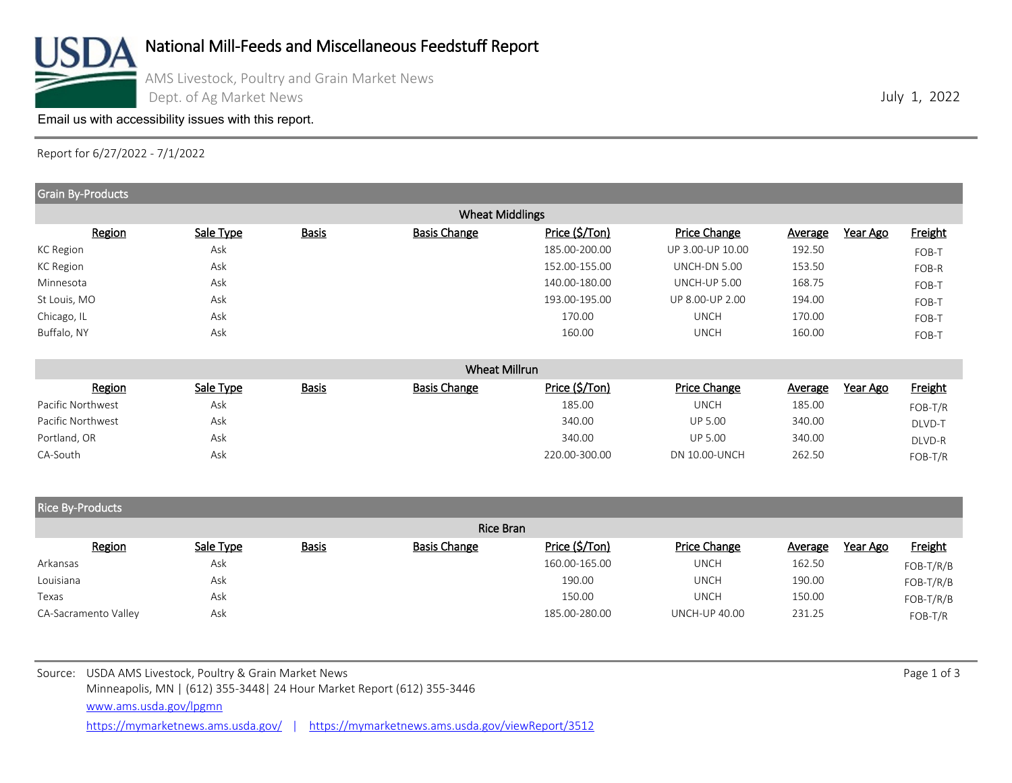

[Email us with accessibility issues with this report.](mailto:mars@ams.usda.gov?subjectNot%20able%20to%20access%20video%20auction%20report)

Report for 6/27/2022 - 7/1/2022

| Grain By-Products       |           |              |                        |                |                     |                |          |                |
|-------------------------|-----------|--------------|------------------------|----------------|---------------------|----------------|----------|----------------|
|                         |           |              | <b>Wheat Middlings</b> |                |                     |                |          |                |
| Region                  | Sale Type | <b>Basis</b> | <b>Basis Change</b>    | Price (\$/Ton) | Price Change        | Average        | Year Ago | <b>Freight</b> |
| KC Region               | Ask       |              |                        | 185.00-200.00  | UP 3.00-UP 10.00    | 192.50         |          | FOB-T          |
| <b>KC Region</b>        | Ask       |              |                        | 152.00-155.00  | <b>UNCH-DN 5.00</b> | 153.50         |          | FOB-R          |
| Minnesota               | Ask       |              |                        | 140.00-180.00  | UNCH-UP 5.00        | 168.75         |          | FOB-T          |
| St Louis, MO            | Ask       |              |                        | 193.00-195.00  | UP 8.00-UP 2.00     | 194.00         |          | FOB-T          |
| Chicago, IL             | Ask       |              |                        | 170.00         | <b>UNCH</b>         | 170.00         |          | FOB-T          |
| Buffalo, NY             | Ask       |              |                        | 160.00         | <b>UNCH</b>         | 160.00         |          | FOB-T          |
|                         |           |              | Wheat Millrun          |                |                     |                |          |                |
| Region                  | Sale Type | <b>Basis</b> | <b>Basis Change</b>    | Price (\$/Ton) | Price Change        | <b>Average</b> | Year Ago | <b>Freight</b> |
| Pacific Northwest       | Ask       |              |                        | 185.00         | <b>UNCH</b>         | 185.00         |          | FOB-T/R        |
| Pacific Northwest       | Ask       |              |                        | 340.00         | <b>UP 5.00</b>      | 340.00         |          | DLVD-T         |
| Portland, OR            | Ask       |              |                        | 340.00         | <b>UP 5.00</b>      | 340.00         |          | DLVD-R         |
| CA-South                | Ask       |              |                        | 220.00-300.00  | DN 10.00-UNCH       | 262.50         |          | FOB-T/R        |
|                         |           |              |                        |                |                     |                |          |                |
| <b>Rice By-Products</b> |           |              |                        |                |                     |                |          |                |
|                         |           |              | Rice Bran              |                |                     |                |          |                |
| Region                  | Sale Type | <b>Basis</b> | <b>Basis Change</b>    | Price (\$/Ton) | Price Change        | <b>Average</b> | Year Ago | Freight        |

|           | 1001                 | $rac{1}{2}$ | $-$ | ------------ | .             | . <u>.</u> .         |        | .<br>$\overline{\phantom{a}}$ |
|-----------|----------------------|-------------|-----|--------------|---------------|----------------------|--------|-------------------------------|
| Arkansas  |                      | Ask         |     |              | 160.00-165.00 | <b>UNCH</b>          | 162.50 | $FOB-T/R/B$                   |
| Louisiana |                      | Ask         |     |              | 190.00        | <b>UNCH</b>          | 190.00 | $FOB-T/R/B$                   |
| Texas     |                      | Ask         |     |              | 150.00        | <b>UNCH</b>          | 150.00 | $FOB-T/R/B$                   |
|           | CA-Sacramento Valley | Ask         |     |              | 185.00-280.00 | <b>UNCH-UP 40.00</b> | 231.25 | $FOB-T/R$                     |

<https://mymarketnews.ams.usda.gov/> | <https://mymarketnews.ams.usda.gov/viewReport/3512>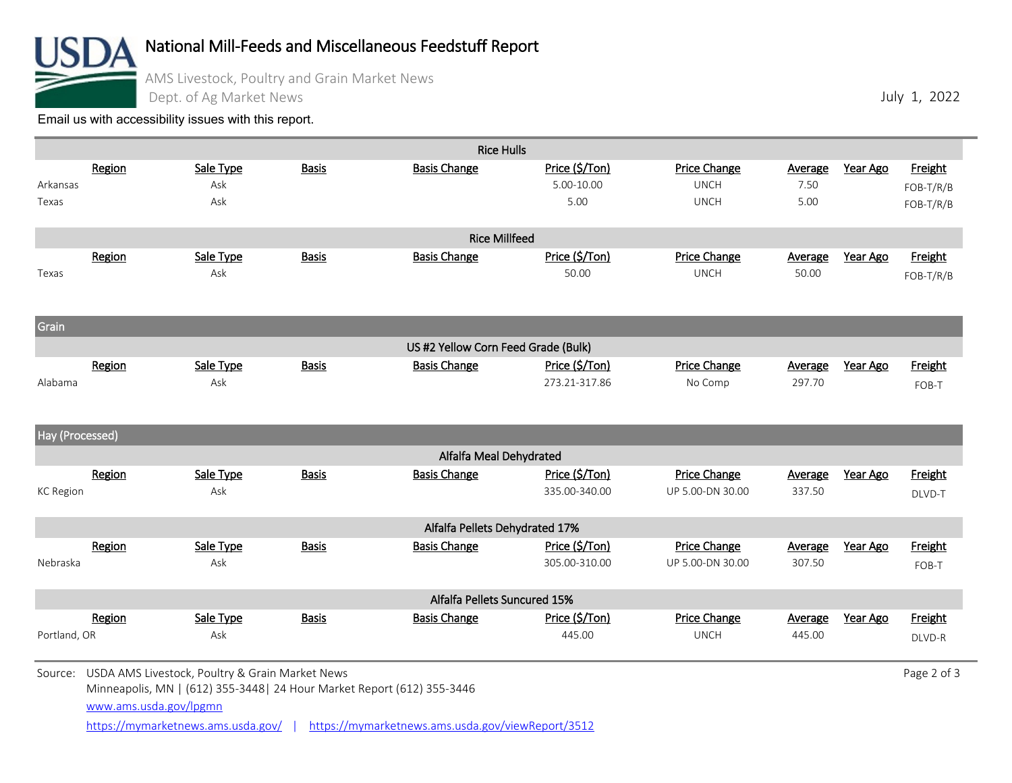

## National Mill-Feeds and Miscellaneous Feedstuff Report

AMS Livestock, Poultry and Grain Market News

Dept. of Ag Market News

[Email us with accessibility issues with this report.](mailto:mars@ams.usda.gov?subjectNot%20able%20to%20access%20video%20auction%20report)

|                  |                        |                                                         |              | <b>Rice Hulls</b>                                                       |                              |                             |                        |          |                      |
|------------------|------------------------|---------------------------------------------------------|--------------|-------------------------------------------------------------------------|------------------------------|-----------------------------|------------------------|----------|----------------------|
| Arkansas         | Region                 | Sale Type<br>Ask                                        | <b>Basis</b> | <b>Basis Change</b>                                                     | Price (\$/Ton)<br>5.00-10.00 | Price Change<br><b>UNCH</b> | <b>Average</b><br>7.50 | Year Ago | Freight<br>FOB-T/R/B |
| Texas            |                        | Ask                                                     |              |                                                                         | 5.00                         | <b>UNCH</b>                 | 5.00                   |          | FOB-T/R/B            |
|                  |                        |                                                         |              | <b>Rice Millfeed</b>                                                    |                              |                             |                        |          |                      |
|                  | Region                 | Sale Type                                               | <b>Basis</b> | <b>Basis Change</b>                                                     | Price (\$/Ton)               | Price Change                | <b>Average</b>         | Year Ago | Freight              |
| Texas            |                        | Ask                                                     |              |                                                                         | 50.00                        | <b>UNCH</b>                 | 50.00                  |          | FOB-T/R/B            |
| Grain            |                        |                                                         |              |                                                                         |                              |                             |                        |          |                      |
|                  |                        |                                                         |              | US #2 Yellow Corn Feed Grade (Bulk)                                     |                              |                             |                        |          |                      |
|                  | Region                 | Sale Type                                               | <b>Basis</b> | <b>Basis Change</b>                                                     | Price (\$/Ton)               | Price Change                | Average                | Year Ago | Freight              |
| Alabama          |                        | Ask                                                     |              |                                                                         | 273.21-317.86                | No Comp                     | 297.70                 |          | FOB-T                |
| Hay (Processed)  |                        |                                                         |              |                                                                         |                              |                             |                        |          |                      |
|                  |                        |                                                         |              | Alfalfa Meal Dehydrated                                                 |                              |                             |                        |          |                      |
|                  | Region                 | Sale Type                                               | <b>Basis</b> | <b>Basis Change</b>                                                     | Price (\$/Ton)               | <b>Price Change</b>         | <b>Average</b>         | Year Ago | Freight              |
| <b>KC Region</b> |                        | Ask                                                     |              |                                                                         | 335.00-340.00                | UP 5.00-DN 30.00            | 337.50                 |          | DLVD-T               |
|                  |                        |                                                         |              | Alfalfa Pellets Dehydrated 17%                                          |                              |                             |                        |          |                      |
|                  | Region                 | Sale Type                                               | <b>Basis</b> | <b>Basis Change</b>                                                     | Price (\$/Ton)               | Price Change                | Average                | Year Ago | Freight              |
| Nebraska         |                        | Ask                                                     |              |                                                                         | 305.00-310.00                | UP 5.00-DN 30.00            | 307.50                 |          | FOB-T                |
|                  |                        |                                                         |              | Alfalfa Pellets Suncured 15%                                            |                              |                             |                        |          |                      |
|                  | Region                 | Sale Type                                               | <b>Basis</b> | <b>Basis Change</b>                                                     | Price (\$/Ton)               | Price Change                | Average                | Year Ago | Freight              |
| Portland, OR     |                        | Ask                                                     |              |                                                                         | 445.00                       | <b>UNCH</b>                 | 445.00                 |          | DLVD-R               |
|                  |                        | Source: USDA AMS Livestock, Poultry & Grain Market News |              | Minneapolis, MN   (612) 355-3448   24 Hour Market Report (612) 355-3446 |                              |                             |                        |          | Page 2 of 3          |
|                  | www.ams.usda.gov/lpgmn |                                                         |              |                                                                         |                              |                             |                        |          |                      |

July 1, 2022

<https://mymarketnews.ams.usda.gov/> | <https://mymarketnews.ams.usda.gov/viewReport/3512>